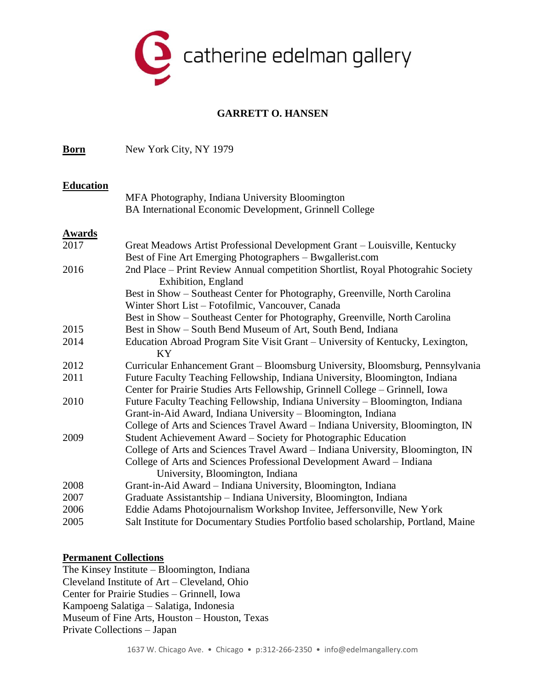

## **GARRETT O. HANSEN**

**Born** New York City, NY 1979

#### **Education**

MFA Photography, Indiana University Bloomington BA International Economic Development, Grinnell College

### **Awards**

| 2017 | Great Meadows Artist Professional Development Grant - Louisville, Kentucky          |
|------|-------------------------------------------------------------------------------------|
|      | Best of Fine Art Emerging Photographers – Bwgallerist.com                           |
| 2016 | 2nd Place – Print Review Annual competition Shortlist, Royal Photograhic Society    |
|      | Exhibition, England                                                                 |
|      | Best in Show – Southeast Center for Photography, Greenville, North Carolina         |
|      | Winter Short List – Fotofilmic, Vancouver, Canada                                   |
|      | Best in Show – Southeast Center for Photography, Greenville, North Carolina         |
| 2015 | Best in Show – South Bend Museum of Art, South Bend, Indiana                        |
| 2014 | Education Abroad Program Site Visit Grant – University of Kentucky, Lexington,      |
|      | KY.                                                                                 |
| 2012 | Curricular Enhancement Grant – Bloomsburg University, Bloomsburg, Pennsylvania      |
| 2011 | Future Faculty Teaching Fellowship, Indiana University, Bloomington, Indiana        |
|      | Center for Prairie Studies Arts Fellowship, Grinnell College – Grinnell, Iowa       |
| 2010 | Future Faculty Teaching Fellowship, Indiana University – Bloomington, Indiana       |
|      | Grant-in-Aid Award, Indiana University – Bloomington, Indiana                       |
|      | College of Arts and Sciences Travel Award – Indiana University, Bloomington, IN     |
| 2009 | Student Achievement Award - Society for Photographic Education                      |
|      | College of Arts and Sciences Travel Award – Indiana University, Bloomington, IN     |
|      | College of Arts and Sciences Professional Development Award – Indiana               |
|      | University, Bloomington, Indiana                                                    |
| 2008 | Grant-in-Aid Award – Indiana University, Bloomington, Indiana                       |
| 2007 | Graduate Assistantship - Indiana University, Bloomington, Indiana                   |
| 2006 | Eddie Adams Photojournalism Workshop Invitee, Jeffersonville, New York              |
| 2005 | Salt Institute for Documentary Studies Portfolio based scholarship, Portland, Maine |

#### **Permanent Collections**

The Kinsey Institute – Bloomington, Indiana Cleveland Institute of Art – Cleveland, Ohio Center for Prairie Studies – Grinnell, Iowa Kampoeng Salatiga – Salatiga, Indonesia Museum of Fine Arts, Houston – Houston, Texas Private Collections – Japan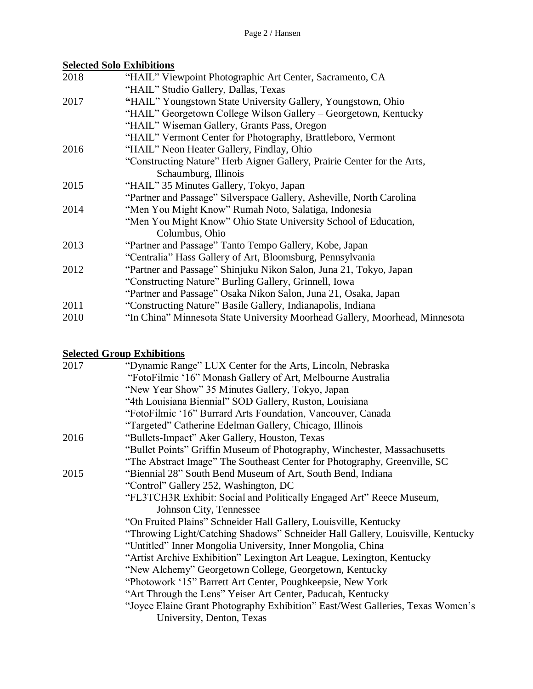# **Selected Solo Exhibitions**

| 2018 | "HAIL" Viewpoint Photographic Art Center, Sacramento, CA                    |
|------|-----------------------------------------------------------------------------|
|      | "HAIL" Studio Gallery, Dallas, Texas                                        |
| 2017 | "HAIL" Youngstown State University Gallery, Youngstown, Ohio                |
|      | "HAIL" Georgetown College Wilson Gallery – Georgetown, Kentucky             |
|      | "HAIL" Wiseman Gallery, Grants Pass, Oregon                                 |
|      | "HAIL" Vermont Center for Photography, Brattleboro, Vermont                 |
| 2016 | "HAIL" Neon Heater Gallery, Findlay, Ohio                                   |
|      | "Constructing Nature" Herb Aigner Gallery, Prairie Center for the Arts,     |
|      | Schaumburg, Illinois                                                        |
| 2015 | "HAIL" 35 Minutes Gallery, Tokyo, Japan                                     |
|      | "Partner and Passage" Silverspace Gallery, Asheville, North Carolina        |
| 2014 | "Men You Might Know" Rumah Noto, Salatiga, Indonesia                        |
|      | "Men You Might Know" Ohio State University School of Education,             |
|      | Columbus, Ohio                                                              |
| 2013 | "Partner and Passage" Tanto Tempo Gallery, Kobe, Japan                      |
|      | "Centralia" Hass Gallery of Art, Bloomsburg, Pennsylvania                   |
| 2012 | "Partner and Passage" Shinjuku Nikon Salon, Juna 21, Tokyo, Japan           |
|      | "Constructing Nature" Burling Gallery, Grinnell, Iowa                       |
|      | "Partner and Passage" Osaka Nikon Salon, Juna 21, Osaka, Japan              |
| 2011 | "Constructing Nature" Basile Gallery, Indianapolis, Indiana                 |
| 2010 | "In China" Minnesota State University Moorhead Gallery, Moorhead, Minnesota |

# **Selected Group Exhibitions**

| 2017 | "Dynamic Range" LUX Center for the Arts, Lincoln, Nebraska                     |  |  |  |
|------|--------------------------------------------------------------------------------|--|--|--|
|      | "FotoFilmic '16" Monash Gallery of Art, Melbourne Australia                    |  |  |  |
|      | "New Year Show" 35 Minutes Gallery, Tokyo, Japan                               |  |  |  |
|      | "4th Louisiana Biennial" SOD Gallery, Ruston, Louisiana                        |  |  |  |
|      | "FotoFilmic '16" Burrard Arts Foundation, Vancouver, Canada                    |  |  |  |
|      | "Targeted" Catherine Edelman Gallery, Chicago, Illinois                        |  |  |  |
| 2016 | "Bullets-Impact" Aker Gallery, Houston, Texas                                  |  |  |  |
|      | "Bullet Points" Griffin Museum of Photography, Winchester, Massachusetts       |  |  |  |
|      | "The Abstract Image" The Southeast Center for Photography, Greenville, SC      |  |  |  |
| 2015 | "Biennial 28" South Bend Museum of Art, South Bend, Indiana                    |  |  |  |
|      | "Control" Gallery 252, Washington, DC                                          |  |  |  |
|      | "FL3TCH3R Exhibit: Social and Politically Engaged Art" Reece Museum,           |  |  |  |
|      | Johnson City, Tennessee                                                        |  |  |  |
|      | "On Fruited Plains" Schneider Hall Gallery, Louisville, Kentucky               |  |  |  |
|      | "Throwing Light/Catching Shadows" Schneider Hall Gallery, Louisville, Kentucky |  |  |  |
|      | "Untitled" Inner Mongolia University, Inner Mongolia, China                    |  |  |  |
|      | "Artist Archive Exhibition" Lexington Art League, Lexington, Kentucky          |  |  |  |
|      | "New Alchemy" Georgetown College, Georgetown, Kentucky                         |  |  |  |
|      | "Photowork '15" Barrett Art Center, Poughkeepsie, New York                     |  |  |  |
|      | "Art Through the Lens" Yeiser Art Center, Paducah, Kentucky                    |  |  |  |
|      | "Joyce Elaine Grant Photography Exhibition" East/West Galleries, Texas Women's |  |  |  |
|      | University, Denton, Texas                                                      |  |  |  |
|      |                                                                                |  |  |  |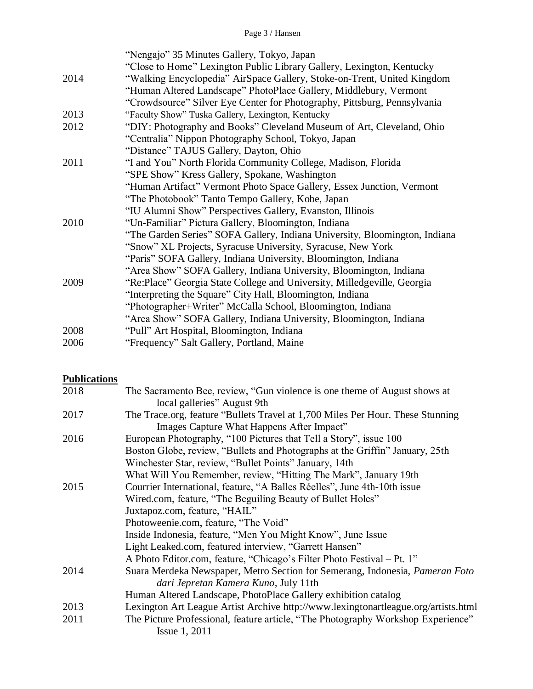|  | Page 3 / Hansen |
|--|-----------------|
|  |                 |

|      | "Nengajo" 35 Minutes Gallery, Tokyo, Japan                                 |
|------|----------------------------------------------------------------------------|
|      | "Close to Home" Lexington Public Library Gallery, Lexington, Kentucky      |
| 2014 | "Walking Encyclopedia" AirSpace Gallery, Stoke-on-Trent, United Kingdom    |
|      | "Human Altered Landscape" PhotoPlace Gallery, Middlebury, Vermont          |
|      | "Crowdsource" Silver Eye Center for Photography, Pittsburg, Pennsylvania   |
| 2013 | "Faculty Show" Tuska Gallery, Lexington, Kentucky                          |
| 2012 | "DIY: Photography and Books" Cleveland Museum of Art, Cleveland, Ohio      |
|      | "Centralia" Nippon Photography School, Tokyo, Japan                        |
|      | "Distance" TAJUS Gallery, Dayton, Ohio                                     |
| 2011 | "I and You" North Florida Community College, Madison, Florida              |
|      | "SPE Show" Kress Gallery, Spokane, Washington                              |
|      | "Human Artifact" Vermont Photo Space Gallery, Essex Junction, Vermont      |
|      | "The Photobook" Tanto Tempo Gallery, Kobe, Japan                           |
|      | "IU Alumni Show" Perspectives Gallery, Evanston, Illinois                  |
| 2010 | "Un-Familiar" Pictura Gallery, Bloomington, Indiana                        |
|      | "The Garden Series" SOFA Gallery, Indiana University, Bloomington, Indiana |
|      | "Snow" XL Projects, Syracuse University, Syracuse, New York                |
|      | "Paris" SOFA Gallery, Indiana University, Bloomington, Indiana             |
|      | "Area Show" SOFA Gallery, Indiana University, Bloomington, Indiana         |
| 2009 | "Re:Place" Georgia State College and University, Milledgeville, Georgia    |
|      | "Interpreting the Square" City Hall, Bloomington, Indiana                  |
|      | "Photographer+Writer" McCalla School, Bloomington, Indiana                 |
|      | "Area Show" SOFA Gallery, Indiana University, Bloomington, Indiana         |
| 2008 | "Pull" Art Hospital, Bloomington, Indiana                                  |
| 2006 | "Frequency" Salt Gallery, Portland, Maine                                  |

### **Publications**

| 2018 | The Sacramento Bee, review, "Gun violence is one theme of August shows at                                                   |
|------|-----------------------------------------------------------------------------------------------------------------------------|
|      | local galleries" August 9th                                                                                                 |
| 2017 | The Trace.org, feature "Bullets Travel at 1,700 Miles Per Hour. These Stunning<br>Images Capture What Happens After Impact" |
| 2016 | European Photography, "100 Pictures that Tell a Story", issue 100                                                           |
|      | Boston Globe, review, "Bullets and Photographs at the Griffin" January, 25th                                                |
|      | Winchester Star, review, "Bullet Points" January, 14th                                                                      |
|      | What Will You Remember, review, "Hitting The Mark", January 19th                                                            |
| 2015 | Courrier International, feature, "A Balles Réelles", June 4th-10th issue                                                    |
|      | Wired.com, feature, "The Beguiling Beauty of Bullet Holes"                                                                  |
|      | Juxtapoz.com, feature, "HAIL"                                                                                               |
|      | Photoweenie.com, feature, "The Void"                                                                                        |
|      | Inside Indonesia, feature, "Men You Might Know", June Issue                                                                 |
|      | Light Leaked.com, featured interview, "Garrett Hansen"                                                                      |
|      | A Photo Editor.com, feature, "Chicago's Filter Photo Festival - Pt. 1"                                                      |
| 2014 | Suara Merdeka Newspaper, Metro Section for Semerang, Indonesia, Pameran Foto                                                |
|      | dari Jepretan Kamera Kuno, July 11th                                                                                        |
|      | Human Altered Landscape, PhotoPlace Gallery exhibition catalog                                                              |
| 2013 | Lexington Art League Artist Archive http://www.lexingtonartleague.org/artists.html                                          |
| 2011 | The Picture Professional, feature article, "The Photography Workshop Experience"                                            |
|      | <b>Issue 1, 2011</b>                                                                                                        |
|      |                                                                                                                             |